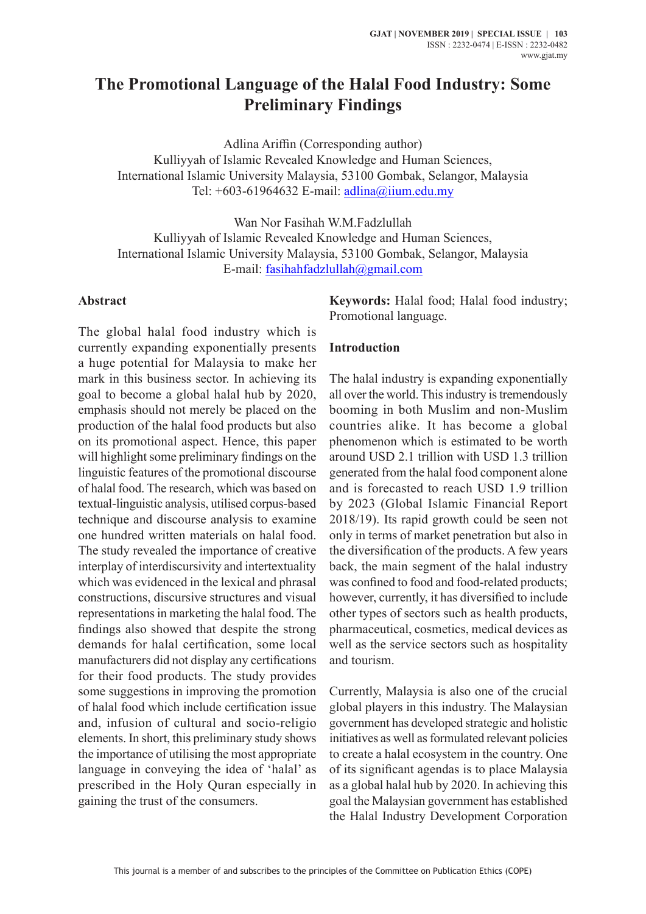# **The Promotional Language of the Halal Food Industry: Some Preliminary Findings**

Adlina Ariffin (Corresponding author) Kulliyyah of Islamic Revealed Knowledge and Human Sciences, International Islamic University Malaysia, 53100 Gombak, Selangor, Malaysia Tel:  $+603-61964632$  E-mail: adlina@iium.edu.my

Wan Nor Fasihah W.M.Fadzlullah Kulliyyah of Islamic Revealed Knowledge and Human Sciences, International Islamic University Malaysia, 53100 Gombak, Selangor, Malaysia E-mail: fasihahfadzlullah@gmail.com

#### **Abstract**

The global halal food industry which is currently expanding exponentially presents a huge potential for Malaysia to make her mark in this business sector. In achieving its goal to become a global halal hub by 2020, emphasis should not merely be placed on the production of the halal food products but also on its promotional aspect. Hence, this paper will highlight some preliminary findings on the linguistic features of the promotional discourse of halal food. The research, which was based on textual-linguistic analysis, utilised corpus-based technique and discourse analysis to examine one hundred written materials on halal food. The study revealed the importance of creative interplay of interdiscursivity and intertextuality which was evidenced in the lexical and phrasal constructions, discursive structures and visual representations in marketing the halal food. The findings also showed that despite the strong demands for halal certification, some local manufacturers did not display any certifications for their food products. The study provides some suggestions in improving the promotion of halal food which include certification issue and, infusion of cultural and socio-religio elements. In short, this preliminary study shows the importance of utilising the most appropriate language in conveying the idea of 'halal' as prescribed in the Holy Quran especially in gaining the trust of the consumers.

**Keywords:** Halal food; Halal food industry; Promotional language.

#### **Introduction**

The halal industry is expanding exponentially all over the world. This industry is tremendously booming in both Muslim and non-Muslim countries alike. It has become a global phenomenon which is estimated to be worth around USD 2.1 trillion with USD 1.3 trillion generated from the halal food component alone and is forecasted to reach USD 1.9 trillion by 2023 (Global Islamic Financial Report 2018/19). Its rapid growth could be seen not only in terms of market penetration but also in the diversification of the products. A few years back, the main segment of the halal industry was confined to food and food-related products; however, currently, it has diversified to include other types of sectors such as health products, pharmaceutical, cosmetics, medical devices as well as the service sectors such as hospitality and tourism.

Currently, Malaysia is also one of the crucial global players in this industry. The Malaysian government has developed strategic and holistic initiatives as well as formulated relevant policies to create a halal ecosystem in the country. One of its significant agendas is to place Malaysia as a global halal hub by 2020. In achieving this goal the Malaysian government has established the Halal Industry Development Corporation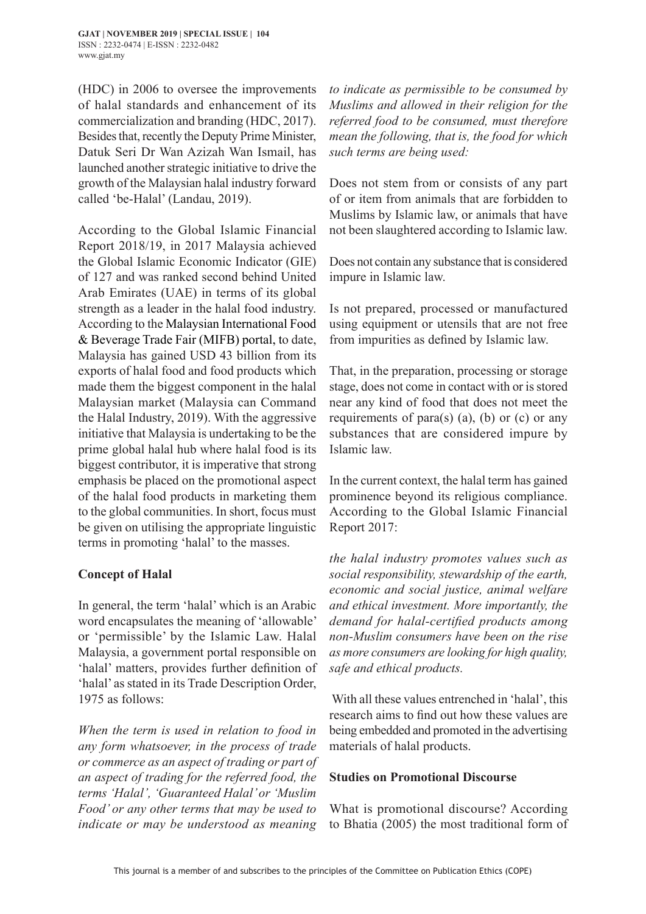(HDC) in 2006 to oversee the improvements of halal standards and enhancement of its commercialization and branding (HDC, 2017). Besides that, recently the Deputy Prime Minister, Datuk Seri Dr Wan Azizah Wan Ismail, has launched another strategic initiative to drive the growth of the Malaysian halal industry forward called 'be-Halal' (Landau, 2019).

According to the Global Islamic Financial Report 2018/19, in 2017 Malaysia achieved the Global Islamic Economic Indicator (GIE) of 127 and was ranked second behind United Arab Emirates (UAE) in terms of its global strength as a leader in the halal food industry. According to the Malaysian International Food & Beverage Trade Fair (MIFB) portal, to date, Malaysia has gained USD 43 billion from its exports of halal food and food products which made them the biggest component in the halal Malaysian market (Malaysia can Command the Halal Industry, 2019). With the aggressive initiative that Malaysia is undertaking to be the prime global halal hub where halal food is its biggest contributor, it is imperative that strong emphasis be placed on the promotional aspect of the halal food products in marketing them to the global communities. In short, focus must be given on utilising the appropriate linguistic terms in promoting 'halal' to the masses.

## **Concept of Halal**

In general, the term 'halal' which is an Arabic word encapsulates the meaning of 'allowable' or 'permissible' by the Islamic Law. Halal Malaysia, a government portal responsible on 'halal' matters, provides further definition of 'halal' as stated in its Trade Description Order, 1975 as follows:

*When the term is used in relation to food in any form whatsoever, in the process of trade or commerce as an aspect of trading or part of an aspect of trading for the referred food, the terms 'Halal', 'Guaranteed Halal' or 'Muslim Food' or any other terms that may be used to indicate or may be understood as meaning* 

*to indicate as permissible to be consumed by Muslims and allowed in their religion for the referred food to be consumed, must therefore mean the following, that is, the food for which such terms are being used:*

Does not stem from or consists of any part of or item from animals that are forbidden to Muslims by Islamic law, or animals that have not been slaughtered according to Islamic law.

Does not contain any substance that is considered impure in Islamic law.

Is not prepared, processed or manufactured using equipment or utensils that are not free from impurities as defined by Islamic law.

That, in the preparation, processing or storage stage, does not come in contact with or is stored near any kind of food that does not meet the requirements of para(s) (a), (b) or (c) or any substances that are considered impure by Islamic law.

In the current context, the halal term has gained prominence beyond its religious compliance. According to the Global Islamic Financial Report 2017:

*the halal industry promotes values such as social responsibility, stewardship of the earth, economic and social justice, animal welfare and ethical investment. More importantly, the demand for halal-certified products among non-Muslim consumers have been on the rise as more consumers are looking for high quality, safe and ethical products.*

With all these values entrenched in 'halal', this research aims to find out how these values are being embedded and promoted in the advertising materials of halal products.

## **Studies on Promotional Discourse**

What is promotional discourse? According to Bhatia (2005) the most traditional form of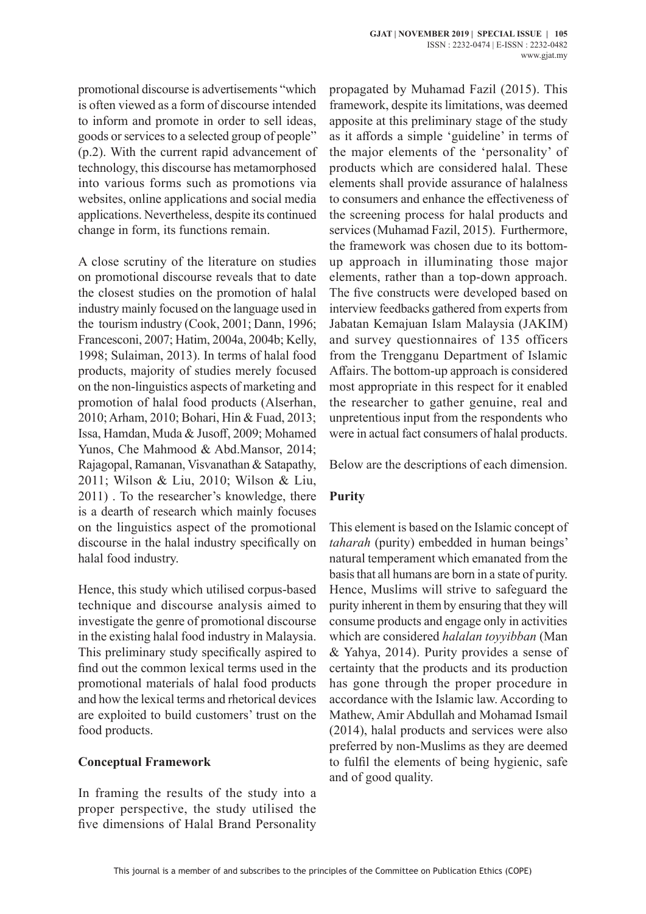promotional discourse is advertisements "which is often viewed as a form of discourse intended to inform and promote in order to sell ideas, goods or services to a selected group of people" (p.2). With the current rapid advancement of technology, this discourse has metamorphosed into various forms such as promotions via websites, online applications and social media applications. Nevertheless, despite its continued change in form, its functions remain.

A close scrutiny of the literature on studies on promotional discourse reveals that to date the closest studies on the promotion of halal industry mainly focused on the language used in the tourism industry (Cook, 2001; Dann, 1996; Francesconi, 2007; Hatim, 2004a, 2004b; Kelly, 1998; Sulaiman, 2013). In terms of halal food products, majority of studies merely focused on the non-linguistics aspects of marketing and promotion of halal food products (Alserhan, 2010; Arham, 2010; Bohari, Hin & Fuad, 2013; Issa, Hamdan, Muda & Jusoff, 2009; Mohamed Yunos, Che Mahmood & Abd.Mansor, 2014; Rajagopal, Ramanan, Visvanathan & Satapathy, 2011; Wilson & Liu, 2010; Wilson & Liu, 2011) . To the researcher's knowledge, there is a dearth of research which mainly focuses on the linguistics aspect of the promotional discourse in the halal industry specifically on halal food industry.

Hence, this study which utilised corpus-based technique and discourse analysis aimed to investigate the genre of promotional discourse in the existing halal food industry in Malaysia. This preliminary study specifically aspired to find out the common lexical terms used in the promotional materials of halal food products and how the lexical terms and rhetorical devices are exploited to build customers' trust on the food products.

## **Conceptual Framework**

In framing the results of the study into a proper perspective, the study utilised the five dimensions of Halal Brand Personality propagated by Muhamad Fazil (2015). This framework, despite its limitations, was deemed apposite at this preliminary stage of the study as it affords a simple 'guideline' in terms of the major elements of the 'personality' of products which are considered halal. These elements shall provide assurance of halalness to consumers and enhance the effectiveness of the screening process for halal products and services (Muhamad Fazil, 2015). Furthermore, the framework was chosen due to its bottomup approach in illuminating those major elements, rather than a top-down approach. The five constructs were developed based on interview feedbacks gathered from experts from Jabatan Kemajuan Islam Malaysia (JAKIM) and survey questionnaires of 135 officers from the Trengganu Department of Islamic Affairs. The bottom-up approach is considered most appropriate in this respect for it enabled the researcher to gather genuine, real and unpretentious input from the respondents who were in actual fact consumers of halal products.

Below are the descriptions of each dimension.

## **Purity**

This element is based on the Islamic concept of *taharah* (purity) embedded in human beings' natural temperament which emanated from the basis that all humans are born in a state of purity. Hence, Muslims will strive to safeguard the purity inherent in them by ensuring that they will consume products and engage only in activities which are considered *halalan toyyibban* (Man & Yahya, 2014). Purity provides a sense of certainty that the products and its production has gone through the proper procedure in accordance with the Islamic law. According to Mathew, Amir Abdullah and Mohamad Ismail (2014), halal products and services were also preferred by non-Muslims as they are deemed to fulfil the elements of being hygienic, safe and of good quality.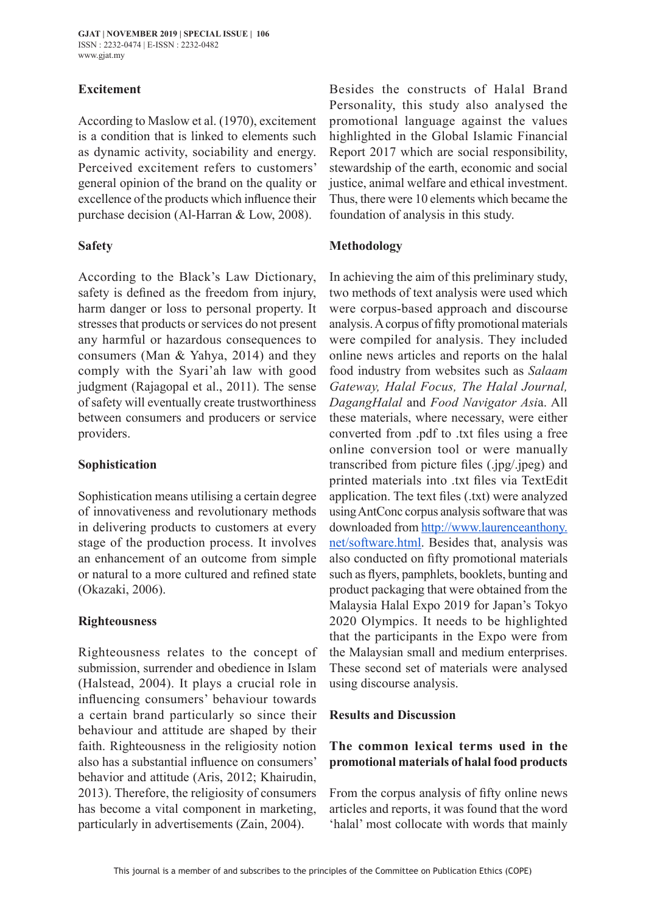## **Excitement**

According to Maslow et al. (1970), excitement is a condition that is linked to elements such as dynamic activity, sociability and energy. Perceived excitement refers to customers' general opinion of the brand on the quality or excellence of the products which influence their purchase decision (Al-Harran & Low, 2008).

#### **Safety**

According to the Black's Law Dictionary, safety is defined as the freedom from injury, harm danger or loss to personal property. It stresses that products or services do not present any harmful or hazardous consequences to consumers (Man & Yahya, 2014) and they comply with the Syari'ah law with good judgment (Rajagopal et al., 2011). The sense of safety will eventually create trustworthiness between consumers and producers or service providers.

## **Sophistication**

Sophistication means utilising a certain degree of innovativeness and revolutionary methods in delivering products to customers at every stage of the production process. It involves an enhancement of an outcome from simple or natural to a more cultured and refined state (Okazaki, 2006).

#### **Righteousness**

Righteousness relates to the concept of submission, surrender and obedience in Islam (Halstead, 2004). It plays a crucial role in influencing consumers' behaviour towards a certain brand particularly so since their behaviour and attitude are shaped by their faith. Righteousness in the religiosity notion also has a substantial influence on consumers' behavior and attitude (Aris, 2012; Khairudin, 2013). Therefore, the religiosity of consumers has become a vital component in marketing, particularly in advertisements (Zain, 2004).

Besides the constructs of Halal Brand Personality, this study also analysed the promotional language against the values highlighted in the Global Islamic Financial Report 2017 which are social responsibility, stewardship of the earth, economic and social justice, animal welfare and ethical investment. Thus, there were 10 elements which became the foundation of analysis in this study.

## **Methodology**

In achieving the aim of this preliminary study, two methods of text analysis were used which were corpus-based approach and discourse analysis. A corpus of fifty promotional materials were compiled for analysis. They included online news articles and reports on the halal food industry from websites such as *Salaam Gateway, Halal Focus, The Halal Journal, DagangHalal* and *Food Navigator Asi*a. All these materials, where necessary, were either converted from .pdf to .txt files using a free online conversion tool or were manually transcribed from picture files (.jpg/.jpeg) and printed materials into .txt files via TextEdit application. The text files (.txt) were analyzed using AntConc corpus analysis software that was downloaded from http://www.laurenceanthony. net/software.html. Besides that, analysis was also conducted on fifty promotional materials such as flyers, pamphlets, booklets, bunting and product packaging that were obtained from the Malaysia Halal Expo 2019 for Japan's Tokyo 2020 Olympics. It needs to be highlighted that the participants in the Expo were from the Malaysian small and medium enterprises. These second set of materials were analysed using discourse analysis.

## **Results and Discussion**

## **The common lexical terms used in the promotional materials of halal food products**

From the corpus analysis of fifty online news articles and reports, it was found that the word 'halal' most collocate with words that mainly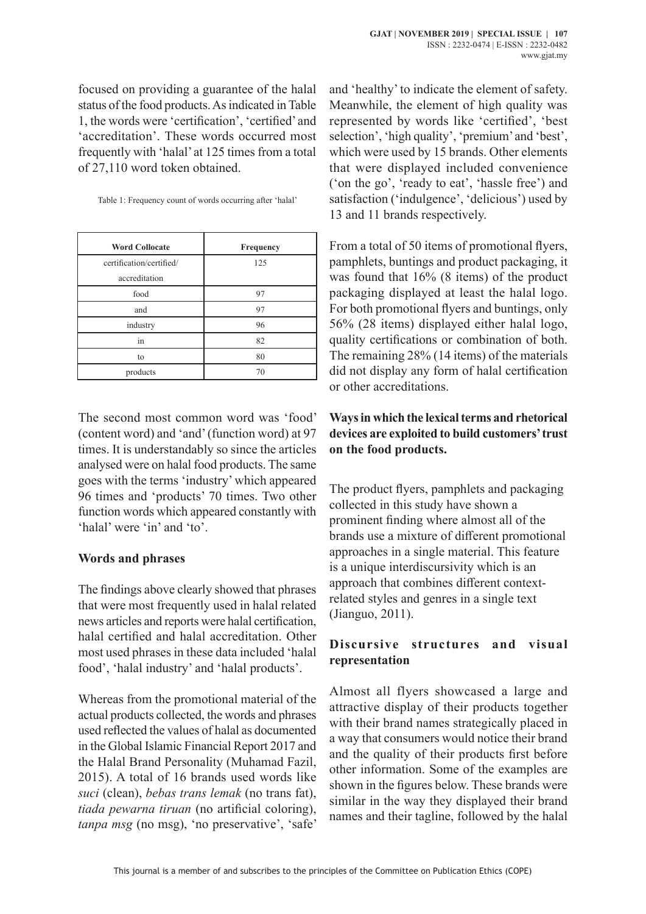focused on providing a guarantee of the halal status of the food products. As indicated in Table 1, the words were 'certification', 'certified' and 'accreditation'. These words occurred most frequently with 'halal' at 125 times from a total of 27,110 word token obtained.

| <b>Word Collocate</b>    | Frequency |
|--------------------------|-----------|
| certification/certified/ | 125       |
| accreditation            |           |
| food                     | 97        |
| and                      | 97        |
| industry                 | 96        |
| in                       | 82        |
| to                       | 80        |
| products                 | 70        |

The second most common word was 'food' (content word) and 'and' (function word) at 97 times. It is understandably so since the articles analysed were on halal food products. The same goes with the terms 'industry' which appeared 96 times and 'products' 70 times. Two other function words which appeared constantly with 'halal' were 'in' and 'to'.

#### **Words and phrases**

The findings above clearly showed that phrases that were most frequently used in halal related news articles and reports were halal certification, halal certified and halal accreditation. Other most used phrases in these data included 'halal food', 'halal industry' and 'halal products'.

Whereas from the promotional material of the actual products collected, the words and phrases used reflected the values of halal as documented in the Global Islamic Financial Report 2017 and the Halal Brand Personality (Muhamad Fazil, 2015). A total of 16 brands used words like *suci* (clean), *bebas trans lemak* (no trans fat), *tiada pewarna tiruan* (no artificial coloring), *tanpa msg* (no msg), 'no preservative', 'safe'

and 'healthy' to indicate the element of safety. Meanwhile, the element of high quality was represented by words like 'certified', 'best selection', 'high quality', 'premium' and 'best', which were used by 15 brands. Other elements that were displayed included convenience ('on the go', 'ready to eat', 'hassle free') and satisfaction ('indulgence', 'delicious') used by 13 and 11 brands respectively.

From a total of 50 items of promotional flyers, pamphlets, buntings and product packaging, it was found that 16% (8 items) of the product packaging displayed at least the halal logo. For both promotional flyers and buntings, only 56% (28 items) displayed either halal logo, quality certifications or combination of both. The remaining 28% (14 items) of the materials did not display any form of halal certification or other accreditations.

## **Ways in which the lexical terms and rhetorical devices are exploited to build customers' trust on the food products.**

The product flyers, pamphlets and packaging collected in this study have shown a prominent finding where almost all of the brands use a mixture of different promotional approaches in a single material. This feature is a unique interdiscursivity which is an approach that combines different contextrelated styles and genres in a single text (Jianguo, 2011).

## **Discursive structures and visual representation**

Almost all flyers showcased a large and attractive display of their products together with their brand names strategically placed in a way that consumers would notice their brand and the quality of their products first before other information. Some of the examples are shown in the figures below. These brands were similar in the way they displayed their brand names and their tagline, followed by the halal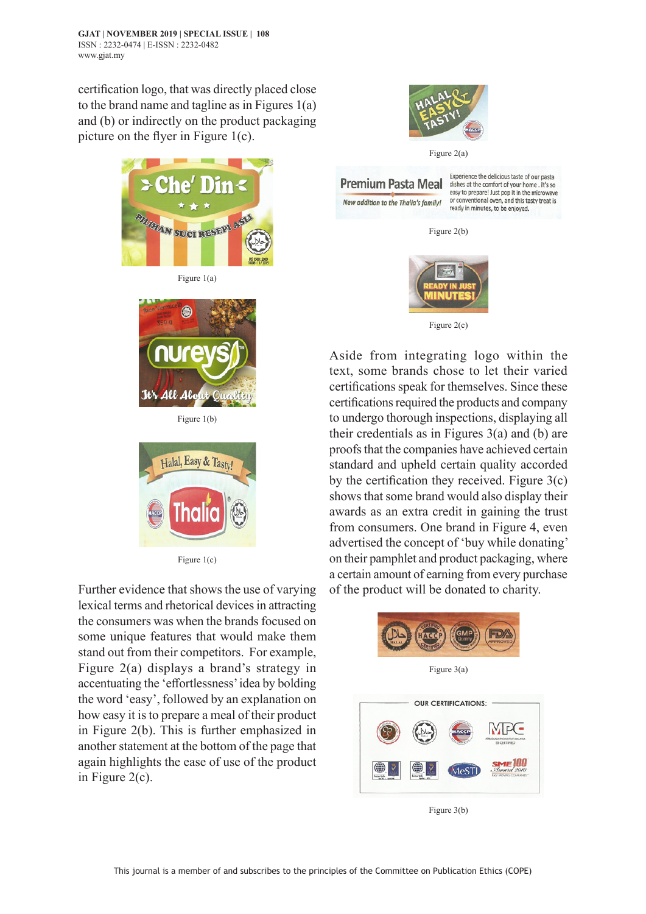certification logo, that was directly placed close to the brand name and tagline as in Figures 1(a) and (b) or indirectly on the product packaging picture on the flyer in Figure 1(c).



Figure 1(a)



Figure 1(b)



Figure 1(c)

Further evidence that shows the use of varying lexical terms and rhetorical devices in attracting the consumers was when the brands focused on some unique features that would make them stand out from their competitors. For example, Figure 2(a) displays a brand's strategy in accentuating the 'effortlessness' idea by bolding the word 'easy', followed by an explanation on how easy it is to prepare a meal of their product in Figure 2(b). This is further emphasized in another statement at the bottom of the page that again highlights the ease of use of the product in Figure 2(c).



Figure 2(a)



Experience the delicious taste of our pasta<br>dishes at the comfort of your home . It's so easy to prepare! Just pop it in the microwave or conventional oven, and this tasty treat is ready in minutes, to be enjoyed.

Figure 2(b)



Figure 2(c)

Aside from integrating logo within the text, some brands chose to let their varied certifications speak for themselves. Since these certifications required the products and company to undergo thorough inspections, displaying all their credentials as in Figures 3(a) and (b) are proofs that the companies have achieved certain standard and upheld certain quality accorded by the certification they received. Figure 3(c) shows that some brand would also display their awards as an extra credit in gaining the trust from consumers. One brand in Figure 4, even advertised the concept of 'buy while donating' on their pamphlet and product packaging, where a certain amount of earning from every purchase of the product will be donated to charity.



Figure 3(a)



Figure 3(b)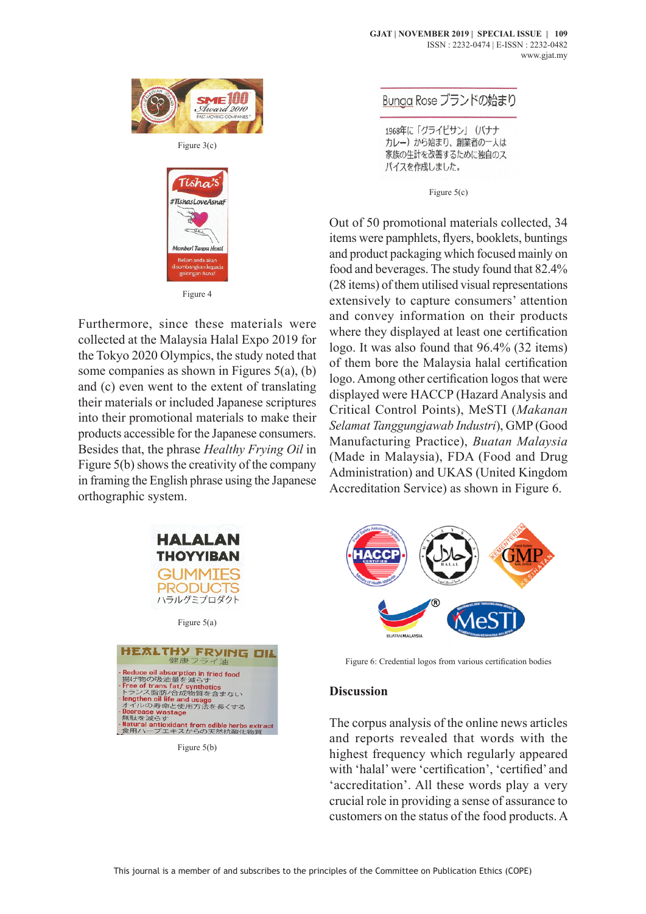

Tísha #TishasLoveAsnat ri Tanna Honti

Figure 4

Furthermore, since these materials were collected at the Malaysia Halal Expo 2019 for the Tokyo 2020 Olympics, the study noted that some companies as shown in Figures 5(a), (b) and (c) even went to the extent of translating their materials or included Japanese scriptures into their promotional materials to make their products accessible for the Japanese consumers. Besides that, the phrase *Healthy Frying Oil* in Figure 5(b) shows the creativity of the company in framing the English phrase using the Japanese orthographic system.



Figure 5(a)



Figure 5(b)

Bunga Rose ブランドの始まり

1968年に「グライピサン」 (バナナ カレー)から始まり、創業者の一人は 家族の生計を改善するために独自のス パイスを作成しました。

Figure 5(c)

Out of 50 promotional materials collected, 34 items were pamphlets, flyers, booklets, buntings and product packaging which focused mainly on food and beverages. The study found that 82.4% (28 items) of them utilised visual representations extensively to capture consumers' attention and convey information on their products where they displayed at least one certification logo. It was also found that 96.4% (32 items) of them bore the Malaysia halal certification logo. Among other certification logos that were displayed were HACCP (Hazard Analysis and Critical Control Points), MeSTI (*Makanan Selamat Tanggungjawab Industri*), GMP (Good Manufacturing Practice), *Buatan Malaysia* (Made in Malaysia), FDA (Food and Drug Administration) and UKAS (United Kingdom Accreditation Service) as shown in Figure 6.



Figure 6: Credential logos from various certification bodies

#### **Discussion**

The corpus analysis of the online news articles and reports revealed that words with the highest frequency which regularly appeared with 'halal' were 'certification', 'certified' and 'accreditation'. All these words play a very crucial role in providing a sense of assurance to customers on the status of the food products. A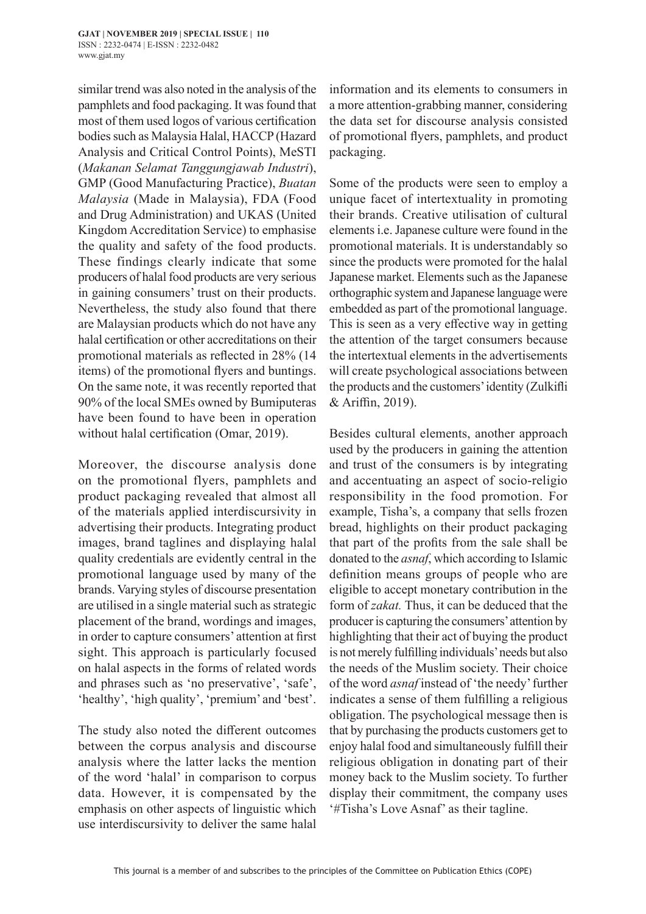similar trend was also noted in the analysis of the pamphlets and food packaging. It was found that most of them used logos of various certification bodies such as Malaysia Halal, HACCP (Hazard Analysis and Critical Control Points), MeSTI (*Makanan Selamat Tanggungjawab Industri*), GMP (Good Manufacturing Practice), *Buatan Malaysia* (Made in Malaysia), FDA (Food and Drug Administration) and UKAS (United Kingdom Accreditation Service) to emphasise the quality and safety of the food products. These findings clearly indicate that some producers of halal food products are very serious in gaining consumers' trust on their products. Nevertheless, the study also found that there are Malaysian products which do not have any halal certification or other accreditations on their promotional materials as reflected in 28% (14 items) of the promotional flyers and buntings. On the same note, it was recently reported that 90% of the local SMEs owned by Bumiputeras have been found to have been in operation without halal certification (Omar, 2019).

Moreover, the discourse analysis done on the promotional flyers, pamphlets and product packaging revealed that almost all of the materials applied interdiscursivity in advertising their products. Integrating product images, brand taglines and displaying halal quality credentials are evidently central in the promotional language used by many of the brands. Varying styles of discourse presentation are utilised in a single material such as strategic placement of the brand, wordings and images, in order to capture consumers' attention at first sight. This approach is particularly focused on halal aspects in the forms of related words and phrases such as 'no preservative', 'safe', 'healthy', 'high quality', 'premium' and 'best'.

The study also noted the different outcomes between the corpus analysis and discourse analysis where the latter lacks the mention of the word 'halal' in comparison to corpus data. However, it is compensated by the emphasis on other aspects of linguistic which use interdiscursivity to deliver the same halal information and its elements to consumers in a more attention-grabbing manner, considering the data set for discourse analysis consisted of promotional flyers, pamphlets, and product packaging.

Some of the products were seen to employ a unique facet of intertextuality in promoting their brands. Creative utilisation of cultural elements i.e. Japanese culture were found in the promotional materials. It is understandably so since the products were promoted for the halal Japanese market. Elements such as the Japanese orthographic system and Japanese language were embedded as part of the promotional language. This is seen as a very effective way in getting the attention of the target consumers because the intertextual elements in the advertisements will create psychological associations between the products and the customers' identity (Zulkifli & Ariffin, 2019).

Besides cultural elements, another approach used by the producers in gaining the attention and trust of the consumers is by integrating and accentuating an aspect of socio-religio responsibility in the food promotion. For example, Tisha's, a company that sells frozen bread, highlights on their product packaging that part of the profits from the sale shall be donated to the *asnaf*, which according to Islamic definition means groups of people who are eligible to accept monetary contribution in the form of *zakat.* Thus, it can be deduced that the producer is capturing the consumers' attention by highlighting that their act of buying the product is not merely fulfilling individuals' needs but also the needs of the Muslim society. Their choice of the word *asnaf* instead of 'the needy' further indicates a sense of them fulfilling a religious obligation. The psychological message then is that by purchasing the products customers get to enjoy halal food and simultaneously fulfill their religious obligation in donating part of their money back to the Muslim society. To further display their commitment, the company uses '#Tisha's Love Asnaf' as their tagline.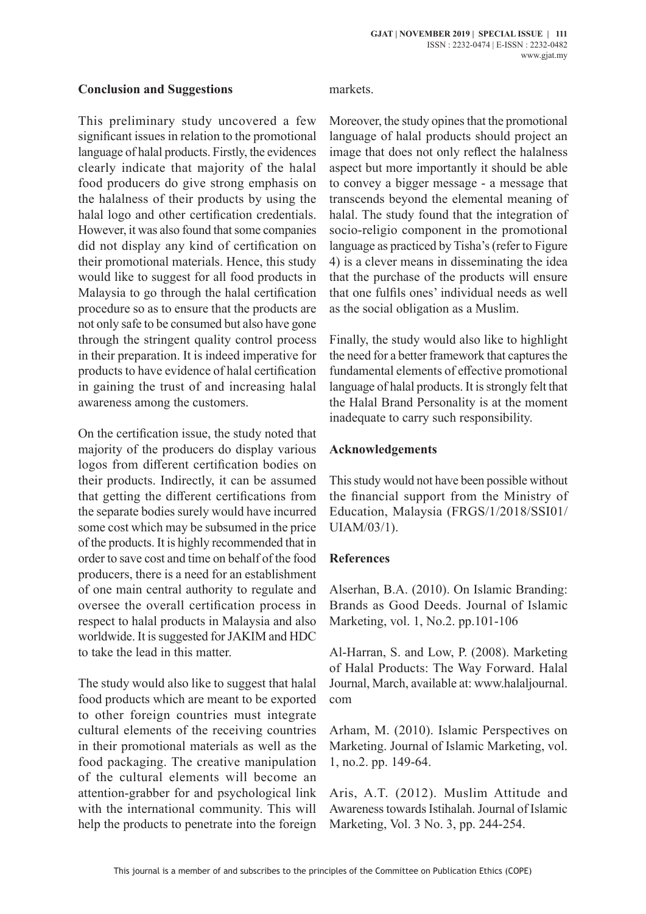#### **Conclusion and Suggestions**

This preliminary study uncovered a few significant issues in relation to the promotional language of halal products. Firstly, the evidences clearly indicate that majority of the halal food producers do give strong emphasis on the halalness of their products by using the halal logo and other certification credentials. However, it was also found that some companies did not display any kind of certification on their promotional materials. Hence, this study would like to suggest for all food products in Malaysia to go through the halal certification procedure so as to ensure that the products are not only safe to be consumed but also have gone through the stringent quality control process in their preparation. It is indeed imperative for products to have evidence of halal certification in gaining the trust of and increasing halal awareness among the customers.

On the certification issue, the study noted that majority of the producers do display various logos from different certification bodies on their products. Indirectly, it can be assumed that getting the different certifications from the separate bodies surely would have incurred some cost which may be subsumed in the price of the products. It is highly recommended that in order to save cost and time on behalf of the food producers, there is a need for an establishment of one main central authority to regulate and oversee the overall certification process in respect to halal products in Malaysia and also worldwide. It is suggested for JAKIM and HDC to take the lead in this matter.

The study would also like to suggest that halal food products which are meant to be exported to other foreign countries must integrate cultural elements of the receiving countries in their promotional materials as well as the food packaging. The creative manipulation of the cultural elements will become an attention-grabber for and psychological link with the international community. This will help the products to penetrate into the foreign

#### markets.

Moreover, the study opines that the promotional language of halal products should project an image that does not only reflect the halalness aspect but more importantly it should be able to convey a bigger message - a message that transcends beyond the elemental meaning of halal. The study found that the integration of socio-religio component in the promotional language as practiced by Tisha's (refer to Figure 4) is a clever means in disseminating the idea that the purchase of the products will ensure that one fulfils ones' individual needs as well as the social obligation as a Muslim.

Finally, the study would also like to highlight the need for a better framework that captures the fundamental elements of effective promotional language of halal products. It is strongly felt that the Halal Brand Personality is at the moment inadequate to carry such responsibility.

## **Acknowledgements**

This study would not have been possible without the financial support from the Ministry of Education, Malaysia (FRGS/1/2018/SSI01/ UIAM/03/1).

## **References**

Alserhan, B.A. (2010). On Islamic Branding: Brands as Good Deeds. Journal of Islamic Marketing, vol. 1, No.2. pp.101-106

Al-Harran, S. and Low, P. (2008). Marketing of Halal Products: The Way Forward. Halal Journal, March, available at: www.halaljournal. com

Arham, M. (2010). Islamic Perspectives on Marketing. Journal of Islamic Marketing, vol. 1, no.2. pp. 149-64.

Aris, A.T. (2012). Muslim Attitude and Awareness towards Istihalah. Journal of Islamic Marketing, Vol. 3 No. 3, pp. 244-254.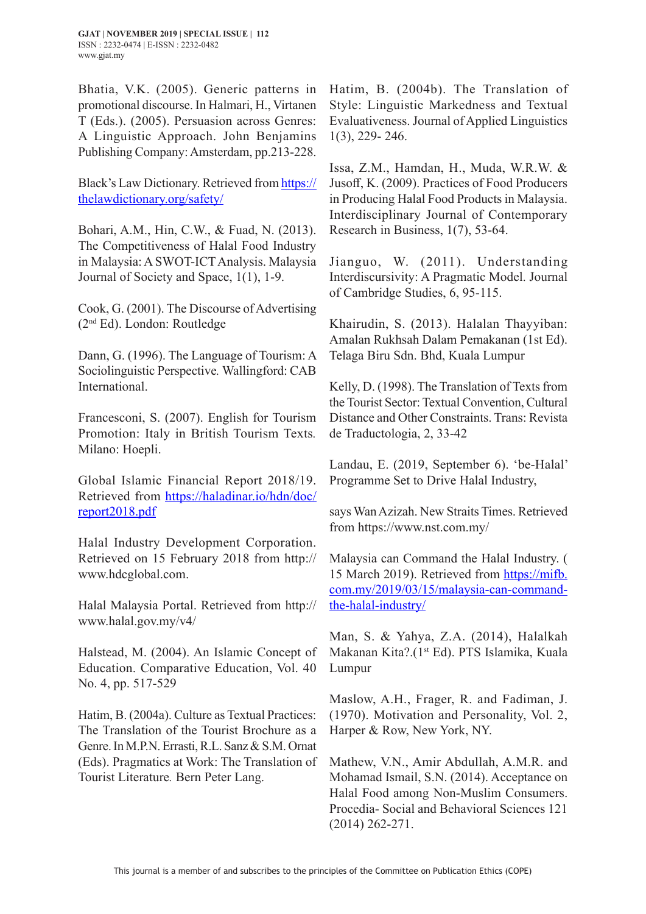**GJAT | NOVEMBER 2019 | SPECIAL ISSUE | 112** ISSN : 2232-0474 | E-ISSN : 2232-0482 www.gjat.my

Bhatia, V.K. (2005). Generic patterns in promotional discourse. In Halmari, H., Virtanen T (Eds.). (2005). Persuasion across Genres: A Linguistic Approach. John Benjamins Publishing Company: Amsterdam, pp.213-228.

Black's Law Dictionary. Retrieved from https:// thelawdictionary.org/safety/

Bohari, A.M., Hin, C.W., & Fuad, N. (2013). The Competitiveness of Halal Food Industry in Malaysia: A SWOT-ICT Analysis. Malaysia Journal of Society and Space, 1(1), 1-9.

Cook, G. (2001). The Discourse of Advertising (2nd Ed). London: Routledge

Dann, G. (1996). The Language of Tourism: A Sociolinguistic Perspective*.* Wallingford: CAB International.

Francesconi, S. (2007). English for Tourism Promotion: Italy in British Tourism Texts*.* Milano: Hoepli.

Global Islamic Financial Report 2018/19. Retrieved from https://haladinar.io/hdn/doc/ report2018.pdf

Halal Industry Development Corporation. Retrieved on 15 February 2018 from http:// www.hdcglobal.com.

Halal Malaysia Portal. Retrieved from http:// www.halal.gov.my/v4/

Halstead, M. (2004). An Islamic Concept of Education. Comparative Education, Vol. 40 No. 4, pp. 517-529

Hatim, B. (2004a). Culture as Textual Practices: The Translation of the Tourist Brochure as a Genre. In M.P.N. Errasti, R.L. Sanz & S.M. Ornat (Eds). Pragmatics at Work: The Translation of Tourist Literature*.* Bern Peter Lang.

Hatim, B. (2004b). The Translation of Style: Linguistic Markedness and Textual Evaluativeness. Journal of Applied Linguistics 1(3), 229- 246.

Issa, Z.M., Hamdan, H., Muda, W.R.W. & Jusoff, K. (2009). Practices of Food Producers in Producing Halal Food Products in Malaysia. Interdisciplinary Journal of Contemporary Research in Business, 1(7), 53-64.

Jianguo, W. (2011). Understanding Interdiscursivity: A Pragmatic Model. Journal of Cambridge Studies, 6, 95-115.

Khairudin, S. (2013). Halalan Thayyiban: Amalan Rukhsah Dalam Pemakanan (1st Ed). Telaga Biru Sdn. Bhd, Kuala Lumpur

Kelly, D. (1998). The Translation of Texts from the Tourist Sector: Textual Convention, Cultural Distance and Other Constraints. Trans: Revista de Traductologia, 2, 33-42

Landau, E. (2019, September 6). 'be-Halal' Programme Set to Drive Halal Industry,

says Wan Azizah. New Straits Times. Retrieved from https://www.nst.com.my/

Malaysia can Command the Halal Industry. ( 15 March 2019). Retrieved from https://mifb. com.my/2019/03/15/malaysia-can-commandthe-halal-industry/

Man, S. & Yahya, Z.A. (2014), Halalkah Makanan Kita?.(1<sup>st</sup> Ed). PTS Islamika, Kuala Lumpur

Maslow, A.H., Frager, R. and Fadiman, J. (1970). Motivation and Personality, Vol. 2, Harper & Row, New York, NY.

Mathew, V.N., Amir Abdullah, A.M.R. and Mohamad Ismail, S.N. (2014). Acceptance on Halal Food among Non-Muslim Consumers. Procedia- Social and Behavioral Sciences 121 (2014) 262-271.